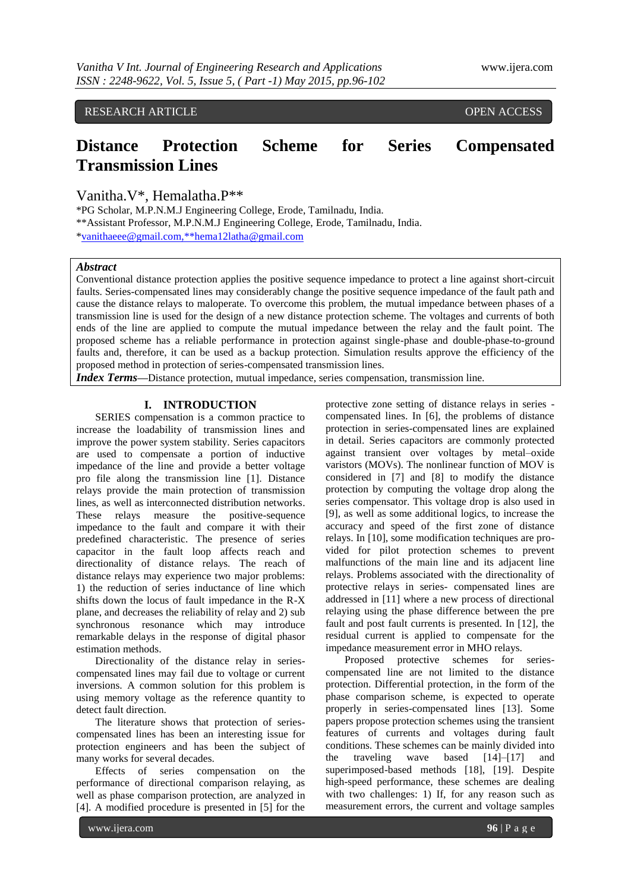RESEARCH ARTICLE OPEN ACCESS

# **Distance Protection Scheme for Series Compensated Transmission Lines**

Vanitha.V\*, Hemalatha.P\*\*

\*PG Scholar, M.P.N.M.J Engineering College, Erode, Tamilnadu, India. \*\*Assistant Professor, M.P.N.M.J Engineering College, Erode, Tamilnadu, India. [\\*vanithaeee@gmail.com,\\*\\*hema12latha@gmail.com](mailto:vanithaeee@gmail.com,**hema12latha@gmail.com)

## *Abstract*

Conventional distance protection applies the positive sequence impedance to protect a line against short-circuit faults. Series-compensated lines may considerably change the positive sequence impedance of the fault path and cause the distance relays to maloperate. To overcome this problem, the mutual impedance between phases of a transmission line is used for the design of a new distance protection scheme. The voltages and currents of both ends of the line are applied to compute the mutual impedance between the relay and the fault point. The proposed scheme has a reliable performance in protection against single-phase and double-phase-to-ground faults and, therefore, it can be used as a backup protection. Simulation results approve the efficiency of the proposed method in protection of series-compensated transmission lines.

*Index Terms*—Distance protection, mutual impedance, series compensation, transmission line.

## **I. INTRODUCTION**

SERIES compensation is a common practice to increase the loadability of transmission lines and improve the power system stability. Series capacitors are used to compensate a portion of inductive impedance of the line and provide a better voltage pro file along the transmission line [1]. Distance relays provide the main protection of transmission lines, as well as interconnected distribution networks. These relays measure the positive-sequence impedance to the fault and compare it with their predefined characteristic. The presence of series capacitor in the fault loop affects reach and directionality of distance relays. The reach of distance relays may experience two major problems: 1) the reduction of series inductance of line which shifts down the locus of fault impedance in the R-X plane, and decreases the reliability of relay and 2) sub synchronous resonance which may introduce remarkable delays in the response of digital phasor estimation methods.

Directionality of the distance relay in seriescompensated lines may fail due to voltage or current inversions. A common solution for this problem is using memory voltage as the reference quantity to detect fault direction.

The literature shows that protection of seriescompensated lines has been an interesting issue for protection engineers and has been the subject of many works for several decades.

Effects of series compensation on the performance of directional comparison relaying, as well as phase comparison protection, are analyzed in [4]. A modified procedure is presented in [5] for the

protective zone setting of distance relays in series compensated lines. In [6], the problems of distance protection in series-compensated lines are explained in detail. Series capacitors are commonly protected against transient over voltages by metal–oxide varistors (MOVs). The nonlinear function of MOV is considered in [7] and [8] to modify the distance protection by computing the voltage drop along the series compensator. This voltage drop is also used in [9], as well as some additional logics, to increase the accuracy and speed of the first zone of distance relays. In [10], some modification techniques are provided for pilot protection schemes to prevent malfunctions of the main line and its adjacent line relays. Problems associated with the directionality of protective relays in series- compensated lines are addressed in [11] where a new process of directional relaying using the phase difference between the pre fault and post fault currents is presented. In [12], the residual current is applied to compensate for the impedance measurement error in MHO relays.

Proposed protective schemes for seriescompensated line are not limited to the distance protection. Differential protection, in the form of the phase comparison scheme, is expected to operate properly in series-compensated lines [13]. Some papers propose protection schemes using the transient features of currents and voltages during fault conditions. These schemes can be mainly divided into the traveling wave based [14]–[17] and superimposed-based methods [18], [19]. Despite high-speed performance, these schemes are dealing with two challenges: 1) If, for any reason such as measurement errors, the current and voltage samples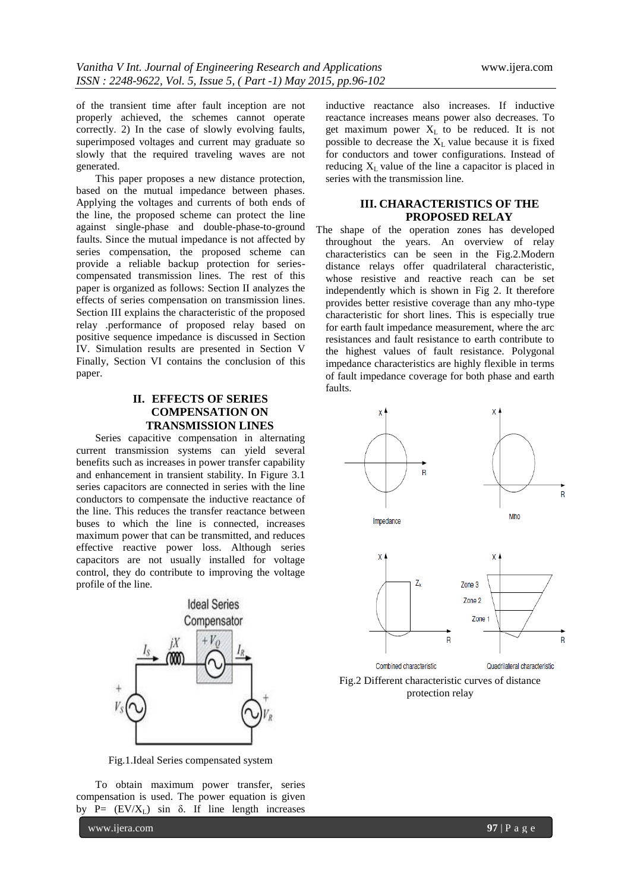of the transient time after fault inception are not properly achieved, the schemes cannot operate correctly. 2) In the case of slowly evolving faults, superimposed voltages and current may graduate so slowly that the required traveling waves are not generated.

This paper proposes a new distance protection, based on the mutual impedance between phases. Applying the voltages and currents of both ends of the line, the proposed scheme can protect the line against single-phase and double-phase-to-ground faults. Since the mutual impedance is not affected by series compensation, the proposed scheme can provide a reliable backup protection for seriescompensated transmission lines. The rest of this paper is organized as follows: Section II analyzes the effects of series compensation on transmission lines. Section III explains the characteristic of the proposed relay .performance of proposed relay based on positive sequence impedance is discussed in Section IV. Simulation results are presented in Section V Finally, Section VI contains the conclusion of this paper.

# **II. EFFECTS OF SERIES COMPENSATION ON TRANSMISSION LINES**

Series capacitive compensation in alternating current transmission systems can yield several benefits such as increases in power transfer capability and enhancement in transient stability. In Figure 3.1 series capacitors are connected in series with the line conductors to compensate the inductive reactance of the line. This reduces the transfer reactance between buses to which the line is connected, increases maximum power that can be transmitted, and reduces effective reactive power loss. Although series capacitors are not usually installed for voltage control, they do contribute to improving the voltage profile of the line.



Fig.1.Ideal Series compensated system

To obtain maximum power transfer, series compensation is used. The power equation is given by P=  $(EV/X_L)$  sin  $\delta$ . If line length increases

www.ijera.com **97** | P a g e

inductive reactance also increases. If inductive reactance increases means power also decreases. To get maximum power  $X_L$  to be reduced. It is not possible to decrease the  $X_L$  value because it is fixed for conductors and tower configurations. Instead of reducing  $X<sub>I</sub>$  value of the line a capacitor is placed in series with the transmission line.

# **III. CHARACTERISTICS OF THE PROPOSED RELAY**

The shape of the operation zones has developed throughout the years. An overview of relay characteristics can be seen in the Fig.2.Modern distance relays offer quadrilateral characteristic, whose resistive and reactive reach can be set independently which is shown in Fig 2. It therefore provides better resistive coverage than any mho-type characteristic for short lines. This is especially true for earth fault impedance measurement, where the arc resistances and fault resistance to earth contribute to the highest values of fault resistance. Polygonal impedance characteristics are highly flexible in terms of fault impedance coverage for both phase and earth faults.



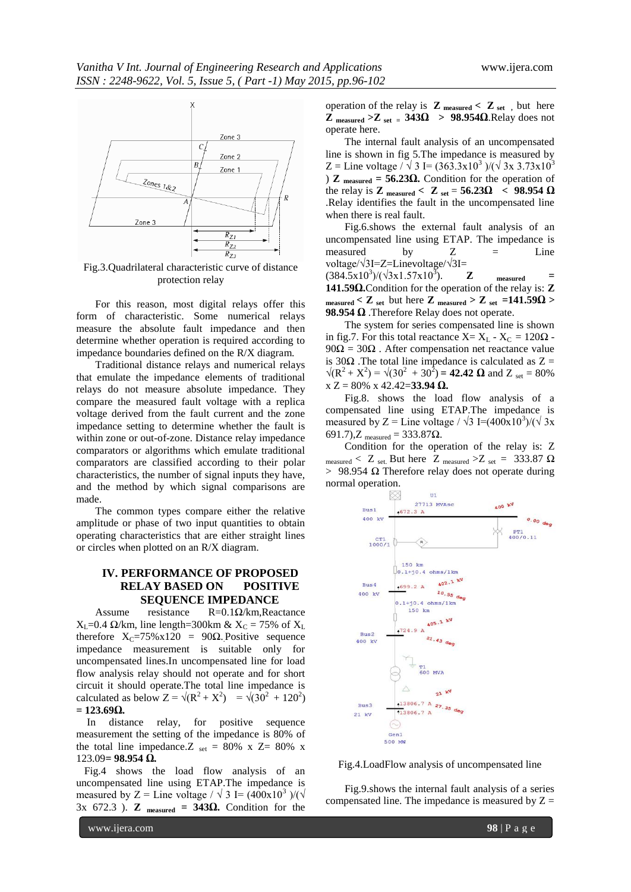

Fig.3.Quadrilateral characteristic curve of distance protection relay

For this reason, most digital relays offer this form of characteristic. Some numerical relays measure the absolute fault impedance and then determine whether operation is required according to impedance boundaries defined on the R/X diagram.

Traditional distance relays and numerical relays that emulate the impedance elements of traditional relays do not measure absolute impedance. They compare the measured fault voltage with a replica voltage derived from the fault current and the zone impedance setting to determine whether the fault is within zone or out-of-zone. Distance relay impedance comparators or algorithms which emulate traditional comparators are classified according to their polar characteristics, the number of signal inputs they have, and the method by which signal comparisons are made.

The common types compare either the relative amplitude or phase of two input quantities to obtain operating characteristics that are either straight lines or circles when plotted on an R/X diagram.

# **IV. PERFORMANCE OF PROPOSED RELAY BASED ON POSITIVE SEQUENCE IMPEDANCE**

Assume resistance  $R=0.1\Omega/km$ , Reactance  $X_L$ =0.4  $\Omega$ /km, line length=300km &  $X_C$  = 75% of  $X_L$ therefore  $X_C = 75\% \times 120 = 90\Omega$ . Positive sequence impedance measurement is suitable only for uncompensated lines.In uncompensated line for load flow analysis relay should not operate and for short circuit it should operate.The total line impedance is calculated as below  $Z = \sqrt{(R^2 + X^2)} = \sqrt{(30^2 + 120^2)}$ **= 123.69Ω.**

 In distance relay, for positive sequence measurement the setting of the impedance is 80% of the total line impedance.  $Z_{set} = 80\%$  x  $Z = 80\%$  x 123.09**= 98.954 Ω.**

 Fig.4 shows the load flow analysis of an uncompensated line using ETAP.The impedance is measured by Z = Line voltage /  $\sqrt{3}$  I= (400x10<sup>3</sup>)/( $\sqrt{3}$ 3x 672.3 ). **Z measured = 343Ω.** Condition for the

operation of the relay is  $\mathbf{Z}_{measured} < \mathbf{Z}_{set}$ , but here  $\overline{Z}$  measured >  $\overline{Z}$  set = 343 $\Omega$  > 98.954 $\Omega$ .Relay does not operate here.

The internal fault analysis of an uncompensated line is shown in fig 5.The impedance is measured by Z = Line voltage /  $\sqrt{3}$  I= (363.3x10<sup>3</sup>)/( $\sqrt{3}$ x 3.73x10<sup>3</sup>) ) **Z measured = 56.23Ω.** Condition for the operation of the relay is **Z**  $_{\text{measured}} < \mathbf{Z}_{\text{set}} = 56.23\Omega < 98.954 \Omega$ .Relay identifies the fault in the uncompensated line when there is real fault.

Fig.6.shows the external fault analysis of an uncompensated line using ETAP. The impedance is measured by  $Z =$  Line voltage/√3I=Z=Linevoltage/√3I=  $(384.5x10^3)/(\sqrt{3}x1.57x10^3)$ ). **Z measured = 141.59Ω.**Condition for the operation of the relay is: **Z**   $_{\text{measured}}$   $\lt Z$   $_{\text{set}}$  but here  $Z$   $_{\text{measured}}$   $\gt Z$   $_{\text{set}}$   $=141.59 \Omega$   $>$ **98.954 Ω** .Therefore Relay does not operate.

The system for series compensated line is shown in fig.7. For this total reactance  $X = X_L - X_C = 120\Omega$ . 90 $\Omega$  = 30 $\Omega$ . After compensation net reactance value is 30 $\Omega$ . The total line impedance is calculated as Z =  $\sqrt{(R^2 + X^2)} = \sqrt{(30^2 + 30^2)} = 42.42 \Omega$  and Z set = 80% x Z = 80% x 42.42=**33.94 Ω.**

Fig.8. shows the load flow analysis of a compensated line using ETAP.The impedance is measured by Z = Line voltage /  $\sqrt{3}$  I=(400x10<sup>3</sup>)/( $\sqrt{3}$ x 691.7), $Z_{measured} = 333.87$ Ω.

Condition for the operation of the relay is: Z measured < Z set. But here Z measured > Z set = 333.87  $\Omega$  $>$  98.954 Ω Therefore relay does not operate during normal operation.





Fig.9.shows the internal fault analysis of a series compensated line. The impedance is measured by  $Z =$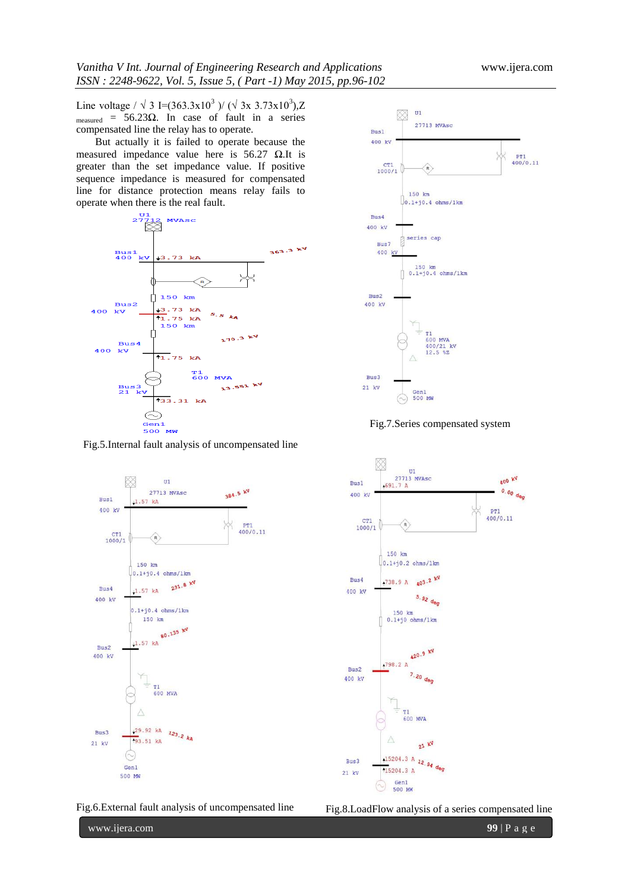Line voltage /  $\sqrt{3}$  I=(363.3x10<sup>3</sup>)/ ( $\sqrt{3}$ x 3.73x10<sup>3</sup>),Z measured =  $56.23\Omega$ . In case of fault in a series compensated line the relay has to operate.

But actually it is failed to operate because the measured impedance value here is  $56.27 \Omega$ .It is greater than the set impedance value. If positive sequence impedance is measured for compensated line for distance protection means relay fails to operate when there is the real fault.



Fig.5.Internal fault analysis of uncompensated line



Fig.7.Series compensated system



Fig.6.External fault analysis of uncompensated line



Fig.8.LoadFlow analysis of a series compensated line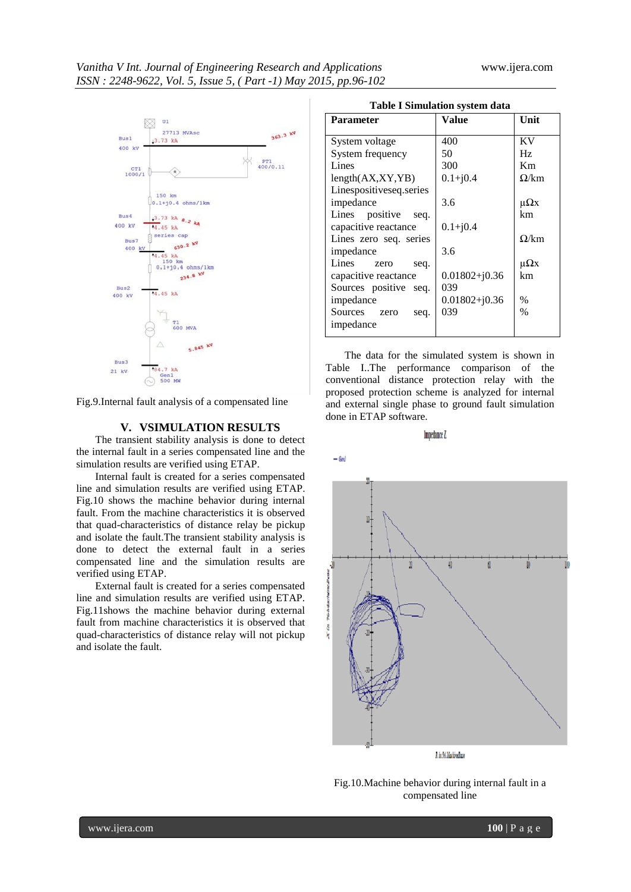

Fig.9.Internal fault analysis of a compensated line

#### **V. VSIMULATION RESULTS**

The transient stability analysis is done to detect the internal fault in a series compensated line and the simulation results are verified using ETAP.

Internal fault is created for a series compensated line and simulation results are verified using ETAP. Fig.10 shows the machine behavior during internal fault. From the machine characteristics it is observed that quad-characteristics of distance relay be pickup and isolate the fault.The transient stability analysis is done to detect the external fault in a series compensated line and the simulation results are verified using ETAP.

External fault is created for a series compensated line and simulation results are verified using ETAP. Fig.11shows the machine behavior during external fault from machine characteristics it is observed that quad-characteristics of distance relay will not pickup and isolate the fault.

| <b>Parameter</b>        | Value             | Unit                   |
|-------------------------|-------------------|------------------------|
| System voltage          | 400               | KV                     |
|                         |                   |                        |
| System frequency        | 50                | Hz                     |
| Lines                   | 300               | Km                     |
| length(AX, XY, YB)      | $0.1 + j0.4$      | $\Omega$ /km           |
| Linespositiveseq.series |                   |                        |
| impedance               | 3.6               | $\mu\Omega$ x          |
| Lines positive seq.     |                   | km                     |
| capacitive reactance    | $0.1 + j0.4$      |                        |
| Lines zero seq. series  |                   | $\Omega/\mathrm{km}$   |
| impedance               | 3.6               |                        |
| Lines<br>seq.<br>zero   |                   | $\mathfrak{u}\Omega x$ |
| capacitive reactance    | $0.01802 + j0.36$ | km                     |
| Sources positive seq.   | 039               |                        |
| impedance               | $0.01802 + j0.36$ | $\%$                   |
| Sources zero<br>seq.    | 039               | $\%$                   |
| impedance               |                   |                        |
|                         |                   |                        |

The data for the simulated system is shown in Table I..The performance comparison of the conventional distance protection relay with the proposed protection scheme is analyzed for internal and external single phase to ground fault simulation done in ETAP software.

Impedance Z



Fig.10.Machine behavior during internal fault in a compensated line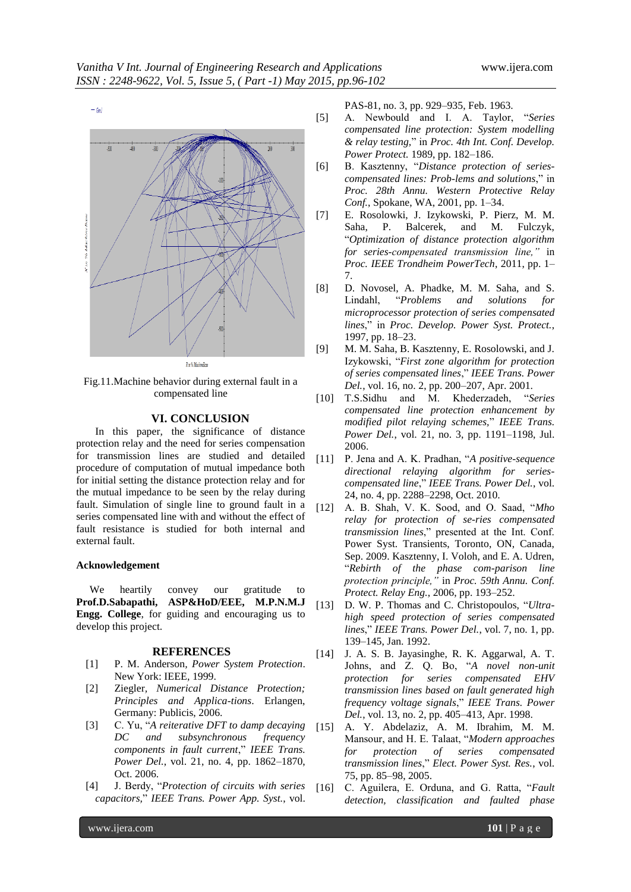

Fig.11.Machine behavior during external fault in a compensated line

## **VI. CONCLUSION**

In this paper, the significance of distance protection relay and the need for series compensation for transmission lines are studied and detailed procedure of computation of mutual impedance both for initial setting the distance protection relay and for the mutual impedance to be seen by the relay during fault. Simulation of single line to ground fault in a series compensated line with and without the effect of fault resistance is studied for both internal and external fault.

## **Acknowledgement**

 We heartily convey our gratitude to **Prof.D.Sabapathi, ASP&HoD/EEE, M.P.N.M.J Engg. College**, for guiding and encouraging us to develop this project.

#### **REFERENCES**

- [1] P. M. Anderson*, Power System Protection*. New York: IEEE, 1999.
- [2] Ziegler*, Numerical Distance Protection; Principles and Applica-tions*. Erlangen, Germany: Publicis, 2006.
- [3] C. Yu, "*A reiterative DFT to damp decaying DC and subsynchronous frequency components in fault current*," *IEEE Trans. Power Del.*, vol. 21, no. 4, pp. 1862–1870, Oct. 2006.
- [4] J. Berdy, "*Protection of circuits with series capacitors,*" *IEEE Trans. Power App. Syst.*, vol.

PAS-81, no. 3, pp. 929–935, Feb. 1963.

- [5] A. Newbould and I. A. Taylor, "*Series compensated line protection: System modelling & relay testing,*" in *Proc. 4th Int. Conf. Develop. Power Protect.* 1989, pp. 182–186.
- [6] B. Kasztenny, "*Distance protection of seriescompensated lines: Prob-lems and solutions*," in *Proc. 28th Annu. Western Protective Relay Conf.*, Spokane, WA, 2001, pp. 1–34.
- [7] E. Rosolowki, J. Izykowski, P. Pierz, M. M. Saha, P. Balcerek, and M. Fulczyk, "*Optimization of distance protection algorithm for series-compensated transmission line,"* in *Proc. IEEE Trondheim PowerTech*, 2011, pp. 1– 7.
- [8] D. Novosel, A. Phadke, M. M. Saha, and S. Lindahl, "*Problems and solutions for microprocessor protection of series compensated lines*," in *Proc. Develop. Power Syst. Protect.*, 1997, pp. 18–23.
- [9] M. M. Saha, B. Kasztenny, E. Rosolowski, and J. Izykowski, "*First zone algorithm for protection of series compensated lines*," *IEEE Trans. Power Del.*, vol. 16, no. 2, pp. 200–207, Apr. 2001.
- [10] T.S.Sidhu and M. Khederzadeh, "*Series compensated line protection enhancement by modified pilot relaying schemes,*" *IEEE Trans. Power Del.*, vol. 21, no. 3, pp. 1191–1198, Jul. 2006.
- [11] P. Jena and A. K. Pradhan, "*A positive-sequence directional relaying algorithm for seriescompensated line*," *IEEE Trans. Power Del.*, vol. 24, no. 4, pp. 2288–2298, Oct. 2010.
- [12] A. B. Shah, V. K. Sood, and O. Saad, "*Mho relay for protection of se-ries compensated transmission lines*," presented at the Int. Conf. Power Syst. Transients, Toronto, ON, Canada, Sep. 2009. Kasztenny, I. Voloh, and E. A. Udren, "*Rebirth of the phase com-parison line protection principle,"* in *Proc. 59th Annu. Conf. Protect. Relay Eng.*, 2006, pp. 193–252.
- [13] D. W. P. Thomas and C. Christopoulos, "*Ultrahigh speed protection of series compensated lines*," *IEEE Trans. Power Del.*, vol. 7, no. 1, pp. 139–145, Jan. 1992.
- [14] J. A. S. B. Jayasinghe, R. K. Aggarwal, A. T. Johns, and Z. Q. Bo, "*A novel non-unit protection for series compensated EHV transmission lines based on fault generated high frequency voltage signals*," *IEEE Trans. Power Del.*, vol. 13, no. 2, pp. 405–413, Apr. 1998.
- [15] A. Y. Abdelaziz, A. M. Ibrahim, M. M. Mansour, and H. E. Talaat, "*Modern approaches for protection of series compensated transmission lines*," *Elect. Power Syst. Res.*, vol. 75, pp. 85–98, 2005.
- [16] C. Aguilera, E. Orduna, and G. Ratta, "*Fault detection, classification and faulted phase*